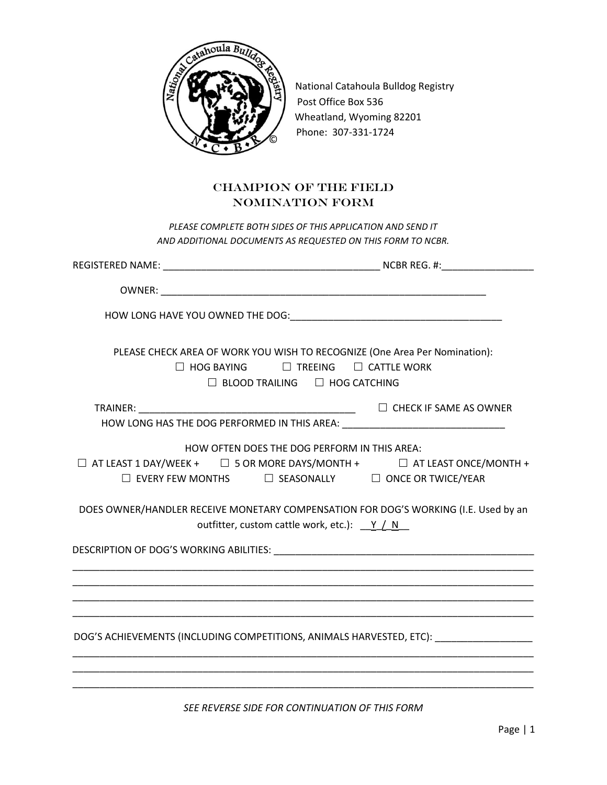

National Catahoula Bulldog Registry Post Office Box 536 Wheatland, Wyoming 82201 Phone: 307-331-1724

## CHAMPION OF THE FIELD NOMINATION FORM

*PLEASE COMPLETE BOTH SIDES OF THIS APPLICATION AND SEND IT AND ADDITIONAL DOCUMENTS AS REQUESTED ON THIS FORM TO NCBR.*

| PLEASE CHECK AREA OF WORK YOU WISH TO RECOGNIZE (One Area Per Nomination):<br>$\Box$ HOG BAYING $\Box$ TREEING $\Box$ CATTLE WORK<br>$\Box$ BLOOD TRAILING $\Box$ HOG CATCHING                                                                                                                        |
|-------------------------------------------------------------------------------------------------------------------------------------------------------------------------------------------------------------------------------------------------------------------------------------------------------|
| HOW LONG HAS THE DOG PERFORMED IN THIS AREA: ___________________________________                                                                                                                                                                                                                      |
| HOW OFTEN DOES THE DOG PERFORM IN THIS AREA:<br>$\Box$ AT LEAST 1 DAY/WEEK + $\Box$ 5 OR MORE DAYS/MONTH + $\Box$ AT LEAST ONCE/MONTH +<br>$\Box$ EVERY FEW MONTHS $\Box$ SEASONALLY $\Box$ ONCE OR TWICE/YEAR<br>DOES OWNER/HANDLER RECEIVE MONETARY COMPENSATION FOR DOG'S WORKING (I.E. Used by an |
| outfitter, custom cattle work, etc.): Y / N                                                                                                                                                                                                                                                           |
|                                                                                                                                                                                                                                                                                                       |
| ,我们也不能在这里的时候,我们也不能在这里的时候,我们也不能会在这里的时候,我们也不能会在这里的时候,我们也不能会在这里的时候,我们也不能会在这里的时候,我们也不                                                                                                                                                                                                                     |
| DOG'S ACHIEVEMENTS (INCLUDING COMPETITIONS, ANIMALS HARVESTED, ETC): __________________                                                                                                                                                                                                               |
|                                                                                                                                                                                                                                                                                                       |

*SEE REVERSE SIDE FOR CONTINUATION OF THIS FORM*